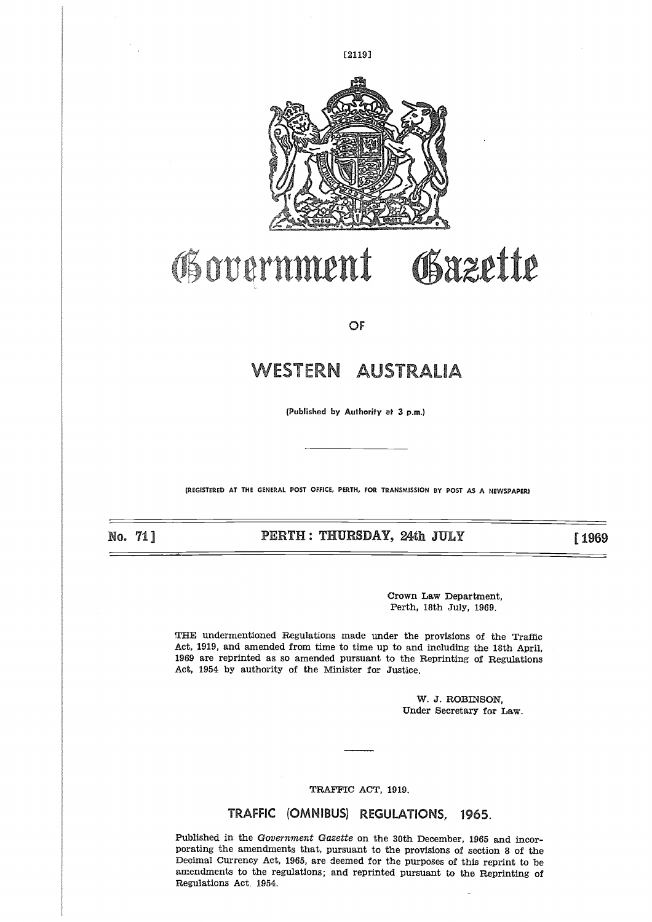

# Obazette **Oivernment**

OF

## **WESTERN AUSTRALIA**

(Published by Authority at 3 p.m.)

(REGISTERED AT THE GENERAL POST OFFICE, PERTH, FOR TRANSMISSION BY POST AS A NEWSPAPER)

No. 711 

**PERTH : THURSDAY, 24th JULY [1969** 

Crown Law Department, Perth, 18th July, 1969.

THE undermentioned Regulations made under the provisions of the Traffic Act, 1919, and amended from time to time up to and including the 18th April, 1969 are reprinted as so amended pursuant to the Reprinting of Regulations Act, 1954 by authority of the Minister for Justice.

> W. J. ROBINSON, Under Secretary for Law.

TRAFFIC ACT, 1919.

### TRAFFIC (OMNIBUS) REGULATIONS, 1965.

Published in the *Government Gazette* on the 30th December, 1965 and incorporating the amendments that, pursuant to the provisions of section 8 of the Decimal Currency Act, 1965, are deemed for the purposes of this reprint to be amendments to the regulations; and reprinted pursuant to the Reprinting of Regulations Act 1954.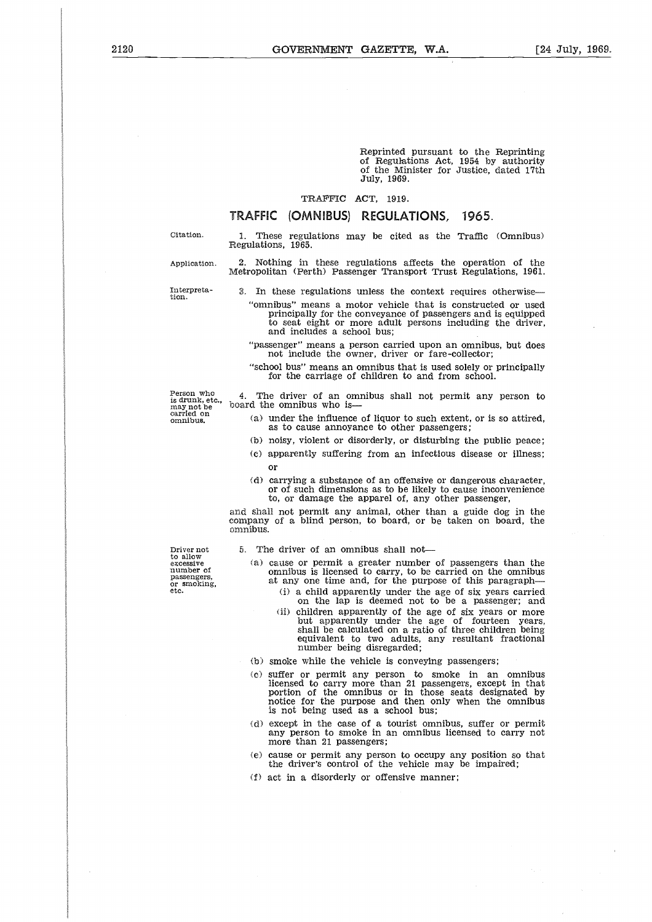Reprinted pursuant to the Reprinting of Regulations Act, 1954 by authority of the Minister for Justice, dated 17th July, 1969. Reprinted pursuant to the Reprinting<br>
of Regulations Act, 1954 by authority<br>
of the Minister for Justice, dated 17th<br>
July, 1969.<br>
TRAFFIC (OMNIBUS) REGULATIONS, 1965.<br>
Citation. 1. These regulations may be cited as the Tr Reprinted pursuant to the Reprinting<br>
of Regulations Act, 1954 by authority<br>
of the Minister for Justice, dated 17th<br>
July, 1969.<br>
TRAFFIC (OMNIBUS) REGULATIONS, 1965.<br>
Citation.<br>
1. These regulations may be cited as the T

#### TRAFFIC ACT, 1919.

### TRAFFIC (OMNIBUS) REGULATIONS, 1965.

1. These regulations may be cited as the Traffic (Omnibus) Regulations, 1965.

Metropolitan (Perth) Passenger Transport Trust Regulations, 1961.

Interpreta. The minimum of the Minister for Justice, dated 17th July, 1969.<br>
TRAFFIC (OMNIBUS) REGULATIONS, 1965.<br>
Citation. 1. These regulations may be cited as the Traffic (Omnibus)<br>
Application. 2. Nothing in these regu "omnibus" means a motor vehicle that is constructed or used principally for the conveyance of passengers and is equipped

- to seat eight or more adult persons including the driver, and includes a school bus;
- "passenger" means a person carried upon an omnibus, but does not include the owner, driver or fare-collector;
- "school bus" means an omnibus that is used solely or principally for the carriage of children to and from school.

Person who is drunk, etc., may not be carried on omnibus.

4. The driver of an omnibus shall not permit any person to board the omnibus who is

- (a) under the influence of liquor to such extent, or is so attired, as to cause annoyance to other passengers;
- (b) noisy, violent or disorderly, or disturbing the public peace;
- (c) apparently suffering from an infectious disease or illness; or
- (d) carrying a substance of an offensive or dangerous character, or of such dimensions as to be likely to cause inconvenience to, or damage the apparel of, any other passenger,

and shall not permit any animal, other than a guide dog in the company of a blind person, to board, or be taken on board, the omnibus.

Driver not to allow excessive number of passengers, or smoking, etc. 5. The driver of an omnibus shall not

- (a) cause or permit a greater number of passengers than the omnibus is licensed to carry, to be carried on the omnibus at any one time and, for the purpose of this paragraph-
	- (i) a child apparently under the age of six years carried on the lap is deemed not to be a passenger; and
	- (ii) children apparently of the age of six years or more but apparently under the age of fourteen years, shall be calculated on a ratio of three children being equivalent to two adults, any resultant fractional number being disregarded;
- (b) smoke while the vehicle is conveying passengers;
- (e) suffer or permit any person to smoke in an omnibus licensed to carry more than 21 passengers, except in that portion of the omnibus or in those seats designated by notice for the purpose and then only when the omnibus is not being used as a school bus;
- (d) except in the case of a tourist omnibus, suffer or permit any person to smoke in an omnibus licensed to carry not more than 21 passengers;
- (e) cause or permit any person to occupy any position so that the driver's control of the vehicle may be impaired;
- (f) act in a disorderly or offensive manner;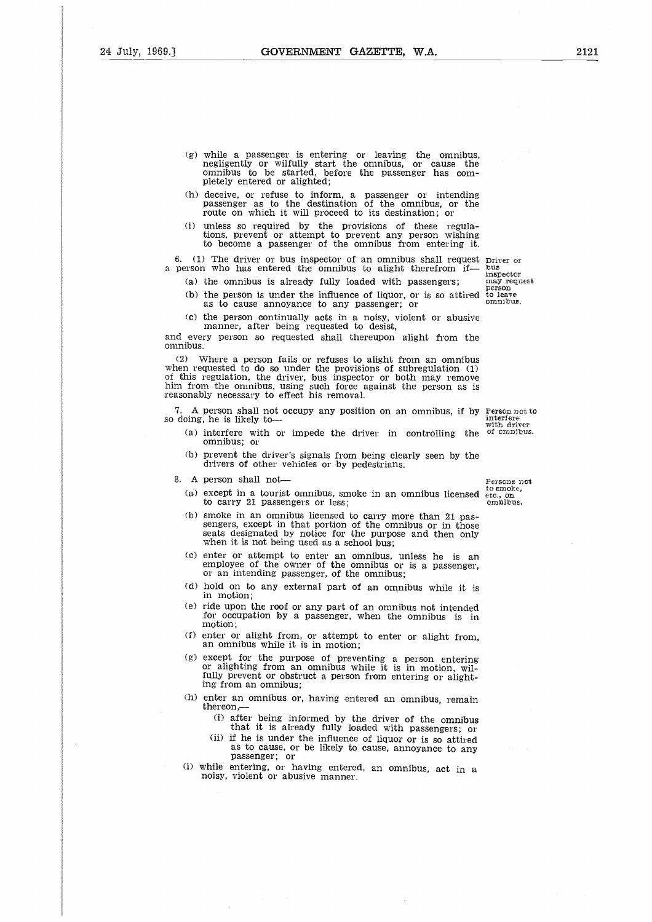- (g) while a passenger is entering or leaving the omnibus, negligently or wilfully start the omnibus, or cause the omnibus to be started, before the passenger has completely entered or alighted; (g) while a passenger is entering or leaving the omnibus,<br>
negligently or wilfully start the omnibus, or cause the<br>
omnibus to be started, before the passenger has com-<br>
pletely entered or alighted;<br>
(h) deceive, or refus
- (h) deceive, or refuse to inform, a passenger or intending passenger as to the destination of the omnibus, or the route on which it will proceed to its destination; or
- (i) unless so required by the provisions of these regulations, prevent or attempt to prevent any person wishing to become a passenger of the omnibus from entering it. bommibus to be started, before the passenge:<br>pletely entered or alighted;<br>deceive, or refuse to inform, a passenger of<br>passenger as to the destination of the omni-<br>route on which it will proceed to its destination<br>unless s

6. (1) The driver or bus inspector of an omnibus shall request  $D$ river or a person who has entered the omnibus to alight therefrom if— bus inspector

- - (b) the person is under the influence of liquor, or is so attired as to cause annoyance to any passenger; or onnibus.
	- (c) the person continually acts in a noisy, violent or abusive manner, after being requested to desist,

and every person so requested shall thereupon alight from the omnibus.

(2) Where a person fails or refuses to alight from an omnibus when requested to do so under the provisions of subregulation (1) of this regulation, the driver, bus inspector or both may remove him from the omnibus, using such force against the person as is reasonably necessary to effect his removal. (a) the ommodes is a<br>
(b) the person is und<br>
as to cause anno<br>
(c) the person contin<br>
manner, after be<br>
and every person so req<br>
and every person so req<br>
ommibus.<br>
(2) Where a person fa<br>
when requested to do so u<br>
of this mibus.<br>
(2) Where a person fails or refuses to alight from an omnibus<br>
can requested to do so under the provisions of subregulation (1)<br>
this regulation, the driver, bus inspector or both may remove<br>
m from the omnibus, u quested to do so under the provisions of subregulation (1)<br>regulation, the driver, bus inspector or both may remove<br>n the omnibus, using such force against the person as is<br>ly necessary to effect his removal.<br>person shall

7. A person shall not occupy any position on an omnibus, if by Person not to so doing, he is likely to  $\frac{1}{2}$ 

- (a) interfere with or impede the driver in controlling the  $of$   $ominus$ . omnibus; or
- (b) prevent the driver's signals from being clearly seen by the drivers of other vehicles or by pedestrians.
- - (a) except in a tourist omnibus, smoke in an omnibus licensed etc., on to carry 21 passengers or less;
	- (b) smoke in an omnibus licensed to carry more than 21 pas-sengers, except in that portion of the omnibus or in those seats designated by notice for the purpose and then only when it is not being used as a school bus;
	- (c) enter or attempt to enter an omnibus, unless he is an employee of the owner of the omnibus or is a passenger, or an intending passenger, of the omnibus;
	- (d) hold on to any external part of an omnibus while it is in motion;
	- (e) ride upon the roof or any part of an omnibus not intended for occupation by a passenger, when the omnibus is in motion;
	- (f) enter or alight from, or attempt to enter or alight from, an omnibus while it is in motion;
	- (g) except for the purpose of preventing a person entering or alighting from an omnibus while it is in motion, wilfully prevent or obstruct a person from entering or alighting from an omnibus;
	- (h) enter an omnibus or, having entered an omnibus, remain thereon,-
		- (i) after being informed by the driver of the omnibus that it is already fully loaded with passengers; or
		- (ii) if he is under the influence of liquor or is so attired as to cause, or be likely to cause, annoyance to any passenger; or
	- (i) while entering, or having entered, an omnibus, act in a noisy, violent or abusive manner.

interfere with driver

person<br>to leav